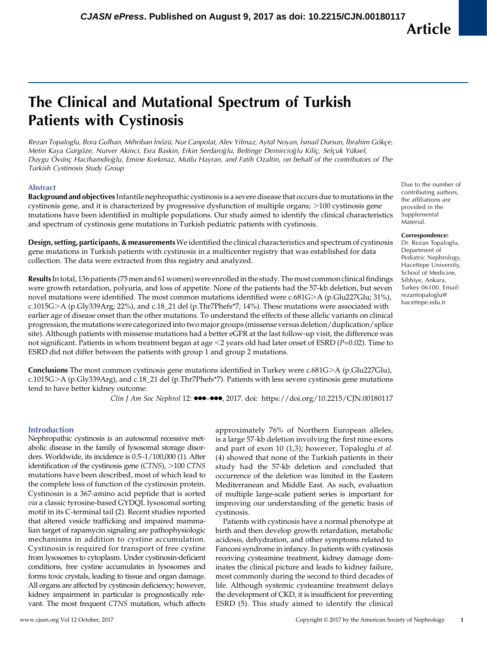# The Clinical and Mutational Spectrum of Turkish Patients with Cystinosis

Rezan Topaloglu, Bora Gulhan, Mihriban İnözü, Nur Canpolat, Alev Yilmaz, Aytül Noyan, İsmail Dursun, İbrahim Gökçe, Metin Kaya Gürgöze, Nurver Akinci, Esra Baskin, Erkin Serdaroğlu, Beltinge Demircioğlu Kiliç, Selçuk Yüksel, Duygu Övünç Hacihamdioğlu, Emine Korkmaz, Mutlu Hayran, and Fatih Ozaltin, on behalf of the contributors of The Turkish Cystinosis Study Group

## Abstract

Background and objectives Infantile nephropathic cystinosis is a severe disease that occurs due to mutations in the cystinosis gene, and it is characterized by progressive dysfunction of multiple organs;  $>100$  cystinosis gene mutations have been identified in multiple populations. Our study aimed to identify the clinical characteristics and spectrum of cystinosis gene mutations in Turkish pediatric patients with cystinosis.

Design, setting, participants, & measurements We identified the clinical characteristics and spectrum of cystinosis gene mutations in Turkish patients with cystinosis in a multicenter registry that was established for data collection. The data were extracted from this registry and analyzed.

Results In total, 136 patients (75 men and 61 women) were enrolled in the study. The most common clinical findings were growth retardation, polyuria, and loss of appetite. None of the patients had the 57-kb deletion, but seven novel mutations were identified. The most common mutations identified were  $c.681G>A$  (p.Glu227Glu; 31%), c.1015G.A (p.Gly339Arg; 22%), and c.18\_21 del (p.Thr7Phefs\*7; 14%). These mutations were associated with earlier age of disease onset than the other mutations. To understand the effects of these allelic variants on clinical progression, the mutations were categorized into two major groups (missense versus deletion/duplication/splice site). Although patients with missense mutations had a better eGFR at the last follow-up visit, the difference was not significant. Patients in whom treatment began at age  $<$ 2 years old had later onset of ESRD (P=0.02). Time to ESRD did not differ between the patients with group 1 and group 2 mutations.

**Conclusions** The most common cystinosis gene mutations identified in Turkey were c.681G $>A$  (p.Glu227Glu), c.1015G.A (p.Gly339Arg), and c.18\_21 del (p.Thr7Phefs\*7). Patients with less severe cystinosis gene mutations tend to have better kidney outcome.

Clin J Am Soc Nephrol 12:  $\bullet \bullet \bullet \bullet \bullet$ , 2017. doi:<https://doi.org/10.2215/CJN.00180117>

# Introduction

Nephropathic cystinosis is an autosomal recessive metabolic disease in the family of lysosomal storage disorders. Worldwide, its incidence is 0.5–1/100,000 (1). After identification of the cystinosis gene  $(CTNS)$ ,  $>100$  CTNS mutations have been described, most of which lead to the complete loss of function of the cystinosin protein. Cystinosin is a 367-amino acid peptide that is sorted via a classic tyrosine-based GYDQL lysosomal sorting motif in its C-terminal tail (2). Recent studies reported that altered vesicle trafficking and impaired mammalian target of rapamycin signaling are pathophysiologic mechanisms in addition to cystine accumulation. Cystinosin is required for transport of free cystine from lysosomes to cytoplasm. Under cystinosin-deficient conditions, free cystine accumulates in lysosomes and forms toxic crystals, leading to tissue and organ damage. All organs are affected by cystinosin deficiency; however, kidney impairment in particular is prognostically relevant. The most frequent CTNS mutation, which affects

approximately 76% of Northern European alleles, is a large 57-kb deletion involving the first nine exons and part of exon 10 (1,3); however, Topaloglu et al. (4) showed that none of the Turkish patients in their study had the 57-kb deletion and concluded that occurrence of the deletion was limited in the Eastern Mediterranean and Middle East. As such, evaluation of multiple large-scale patient series is important for improving our understanding of the genetic basis of cystinosis.

Patients with cystinosis have a normal phenotype at birth and then develop growth retardation, metabolic acidosis, dehydration, and other symptoms related to Fanconi syndrome in infancy. In patients with cystinosis receiving cysteamine treatment, kidney damage dominates the clinical picture and leads to kidney failure, most commonly during the second to third decades of life. Although systemic cysteamine treatment delays the development of CKD, it is insufficient for preventing ESRD (5). This study aimed to identify the clinical

Due to the number of contributing authors, the affiliations are provided in the [Supplemental](http://cjasn.asnjournals.org/lookup/suppl/doi:10.2215/CJN.00180117/-/DCSupplemental) [Material.](http://cjasn.asnjournals.org/lookup/suppl/doi:10.2215/CJN.00180117/-/DCSupplemental)

#### Correspondence:

Dr. Rezan Topaloglu, Department of Pediatric Nephrology, Hacettepe University, School of Medicine, Sihhiye, Ankara, Turkey 06100. Email: [rezantopaloglu@](mailto:rezantopaloglu@hacettepe.edu.tr) [hacettepe.edu.tr](mailto:rezantopaloglu@hacettepe.edu.tr)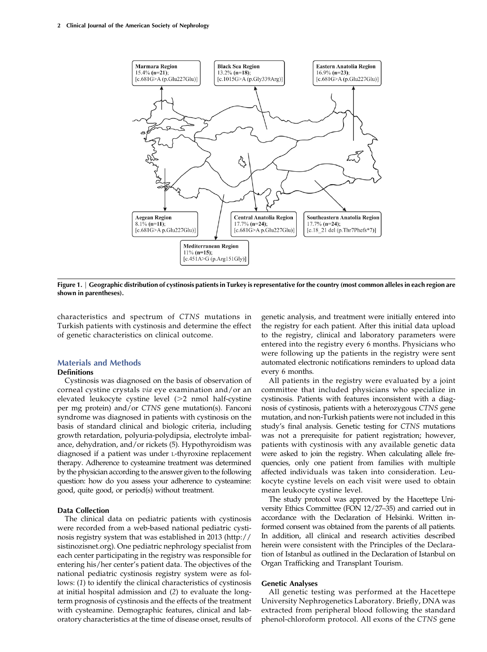

Figure 1. | Geographic distribution of cystinosis patients in Turkey is representative for the country (most common alleles in each region are shown in parentheses).

characteristics and spectrum of CTNS mutations in Turkish patients with cystinosis and determine the effect of genetic characteristics on clinical outcome.

# Materials and Methods

# Definitions

Cystinosis was diagnosed on the basis of observation of corneal cystine crystals via eye examination and/or an elevated leukocyte cystine level  $(>2$  nmol half-cystine per mg protein) and/or CTNS gene mutation(s). Fanconi syndrome was diagnosed in patients with cystinosis on the basis of standard clinical and biologic criteria, including growth retardation, polyuria-polydipsia, electrolyte imbalance, dehydration, and/or rickets (5). Hypothyroidism was diagnosed if a patient was under L-thyroxine replacement therapy. Adherence to cysteamine treatment was determined by the physician according to the answer given to the following question: how do you assess your adherence to cysteamine: good, quite good, or period(s) without treatment.

# Data Collection

The clinical data on pediatric patients with cystinosis were recorded from a web-based national pediatric cystinosis registry system that was established in 2013 [\(http://](http://sistinozisnet.org) [sistinozisnet.org\)](http://sistinozisnet.org). One pediatric nephrology specialist from each center participating in the registry was responsible for entering his/her center's patient data. The objectives of the national pediatric cystinosis registry system were as follows: (1) to identify the clinical characteristics of cystinosis at initial hospital admission and (2) to evaluate the longterm prognosis of cystinosis and the effects of the treatment with cysteamine. Demographic features, clinical and laboratory characteristics at the time of disease onset, results of genetic analysis, and treatment were initially entered into the registry for each patient. After this initial data upload to the registry, clinical and laboratory parameters were entered into the registry every 6 months. Physicians who were following up the patients in the registry were sent automated electronic notifications reminders to upload data every 6 months.

All patients in the registry were evaluated by a joint committee that included physicians who specialize in cystinosis. Patients with features inconsistent with a diagnosis of cystinosis, patients with a heterozygous CTNS gene mutation, and non-Turkish patients were not included in this study's final analysis. Genetic testing for CTNS mutations was not a prerequisite for patient registration; however, patients with cystinosis with any available genetic data were asked to join the registry. When calculating allele frequencies, only one patient from families with multiple affected individuals was taken into consideration. Leukocyte cystine levels on each visit were used to obtain mean leukocyte cystine level.

The study protocol was approved by the Hacettepe University Ethics Committee (FON 12/27–35) and carried out in accordance with the Declaration of Helsinki. Written informed consent was obtained from the parents of all patients. In addition, all clinical and research activities described herein were consistent with the Principles of the Declaration of Istanbul as outlined in the Declaration of Istanbul on Organ Trafficking and Transplant Tourism.

## Genetic Analyses

All genetic testing was performed at the Hacettepe University Nephrogenetics Laboratory. Briefly, DNA was extracted from peripheral blood following the standard phenol-chloroform protocol. All exons of the CTNS gene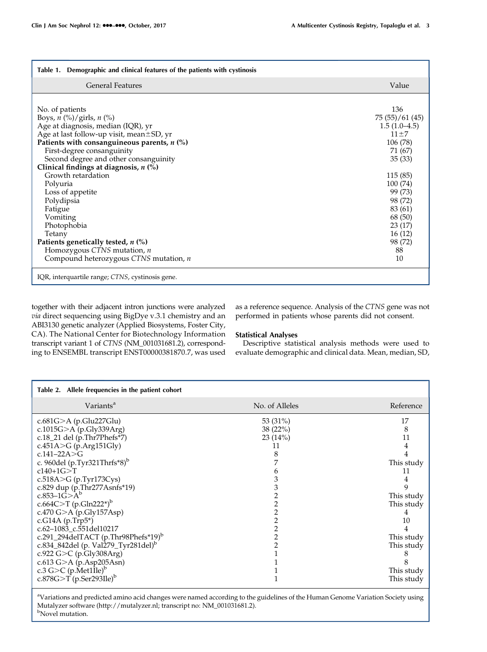| Demographic and clinical features of the patients with cystinosis<br>Table 1. |                |
|-------------------------------------------------------------------------------|----------------|
| <b>General Features</b>                                                       | Value          |
|                                                                               |                |
| No. of patients                                                               | 136            |
| Boys, $n$ (%)/girls, $n$ (%)                                                  | 75(55)/61(45)  |
| Age at diagnosis, median (IQR), yr                                            | $1.5(1.0-4.5)$ |
| Age at last follow-up visit, mean±SD, yr                                      | $11 + 7$       |
| Patients with consanguineous parents, $n$ (%)                                 | 106 (78)       |
| First-degree consanguinity                                                    | 71 (67)        |
| Second degree and other consanguinity                                         | 35(33)         |
| Clinical findings at diagnosis, $n$ (%)                                       |                |
| Growth retardation                                                            | 115(85)        |
| Polyuria                                                                      | 100 (74)       |
| Loss of appetite                                                              | 99 (73)        |
| Polydipsia                                                                    | 98 (72)        |
| Fatigue                                                                       | 83 (61)        |
| Vomiting                                                                      | 68 (50)        |
| Photophobia                                                                   | 23 (17)        |
| Tetany                                                                        | 16(12)         |
| Patients genetically tested, $n$ (%)                                          | 98 (72)        |
| Homozygous CTNS mutation, $n$                                                 | 88             |
| Compound heterozygous CTNS mutation, n                                        | 10             |
| IQR, interquartile range; CTNS, cystinosis gene.                              |                |

together with their adjacent intron junctions were analyzed via direct sequencing using BigDye v.3.1 chemistry and an ABI3130 genetic analyzer (Applied Biosystems, Foster City, CA). The National Center for Biotechnology Information transcript variant 1 of CTNS (NM\_001031681.2), corresponding to ENSEMBL transcript ENST00000381870.7, was used as a reference sequence. Analysis of the CTNS gene was not performed in patients whose parents did not consent.

# Statistical Analyses

Descriptive statistical analysis methods were used to evaluate demographic and clinical data. Mean, median, SD,

| Table 2. Allele frequencies in the patient cohort                                                                                                                                                                                                                                                                                                                                                                                                                                                                                                                                                           |                                |                                                                                                                    |
|-------------------------------------------------------------------------------------------------------------------------------------------------------------------------------------------------------------------------------------------------------------------------------------------------------------------------------------------------------------------------------------------------------------------------------------------------------------------------------------------------------------------------------------------------------------------------------------------------------------|--------------------------------|--------------------------------------------------------------------------------------------------------------------|
| Variants <sup>a</sup>                                                                                                                                                                                                                                                                                                                                                                                                                                                                                                                                                                                       | No. of Alleles                 | Reference                                                                                                          |
| c.681G>A (p.Glu227Glu)<br>c.1015G $>$ A (p.Gly339Arg)<br>c.18_21 del (p.Thr7Phefs*7)<br>c.451A>G (p.Arg151Gly)<br>c.141–22A $>$ G<br>c. 960del (p.Tyr321Thrfs*8) <sup>b</sup><br>$c140+1G > T$<br>c.518A>G (p.Tyr173Cys)<br>c.829 dup (p.Thr277Asnfs*19)<br>c.853–1 $G > A^b$<br>c.664C>T (p.Gln222*) <sup>b</sup><br>c.470 G>A (p.Gly157Asp)<br>c.G14A $(p.\text{Trp}5^*)$<br>c.62-1083_c.551del10217<br>c.291_294delTACT (p.Thr98Phefs*19) <sup>b</sup><br>c.834_842del (p. Val279_Tyr281del) <sup>b</sup><br>c.922 G>C (p.Gly308Arg)<br>c.613 G>A (p.Asp205Asn)<br>c.3 G>C $(p.\text{Met1\text{II}e})^b$ | 53 (31%)<br>38(22%)<br>23(14%) | 17<br>8<br>11<br>This study<br>11<br>9<br>This study<br>This study<br>10<br>This study<br>This study<br>This study |
| c.878G $\geq$ T (p.Ser293Ile) <sup>b</sup>                                                                                                                                                                                                                                                                                                                                                                                                                                                                                                                                                                  |                                | This study                                                                                                         |

<sup>a</sup>Variations and predicted amino acid changes were named according to the guidelines of the Human Genome Variation Society using Mutalyzer software ([http://mutalyzer.nl;](http://mutalyzer.nl) transcript no: NM\_001031681.2). <sup>b</sup>Novel mutation.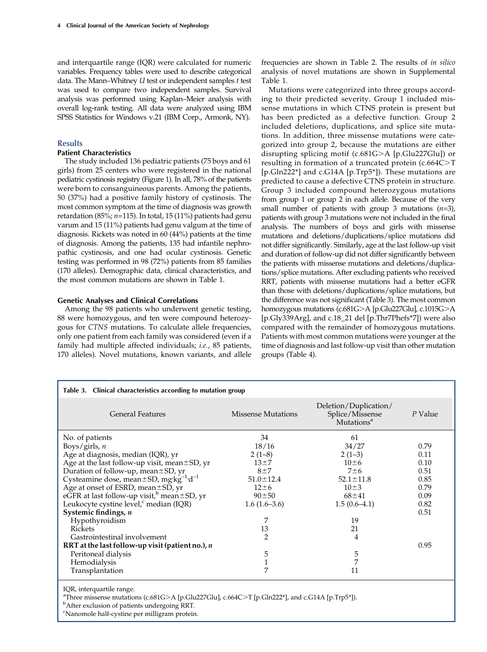and interquartile range (IQR) were calculated for numeric variables. Frequency tables were used to describe categorical data. The Mann–Whitney  $U$  test or independent samples  $t$  test was used to compare two independent samples. Survival analysis was performed using Kaplan–Meier analysis with overall log-rank testing. All data were analyzed using IBM SPSS Statistics for Windows v.21 (IBM Corp., Armonk, NY).

# **Results**

# Patient Characteristics

The study included 136 pediatric patients (75 boys and 61 girls) from 25 centers who were registered in the national pediatric cystinosis registry (Figure 1). In all, 78% of the patients were born to consanguineous parents. Among the patients, 50 (37%) had a positive family history of cystinosis. The most common symptom at the time of diagnosis was growth retardation (85%;  $n=115$ ). In total, 15 (11%) patients had genu varum and 15 (11%) patients had genu valgum at the time of diagnosis. Rickets was noted in 60 (44%) patients at the time of diagnosis. Among the patients, 135 had infantile nephropathic cystinosis, and one had ocular cystinosis. Genetic testing was performed in 98 (72%) patients from 85 families (170 alleles). Demographic data, clinical characteristics, and the most common mutations are shown in Table 1.

# Genetic Analyses and Clinical Correlations

Among the 98 patients who underwent genetic testing, 88 were homozygous, and ten were compound heterozygous for CTNS mutations. To calculate allele frequencies, only one patient from each family was considered (even if a family had multiple affected individuals; i.e., 85 patients, 170 alleles). Novel mutations, known variants, and allele frequencies are shown in Table 2. The results of in silico analysis of novel mutations are shown in [Supplemental](http://cjasn.asnjournals.org/lookup/suppl/doi:10.2215/CJN.00180117/-/DCSupplemental) [Table 1](http://cjasn.asnjournals.org/lookup/suppl/doi:10.2215/CJN.00180117/-/DCSupplemental).

Mutations were categorized into three groups according to their predicted severity. Group 1 included missense mutations in which CTNS protein is present but has been predicted as a defective function. Group 2 included deletions, duplications, and splice site mutations. In addition, three missense mutations were categorized into group 2, because the mutations are either disrupting splicing motif (c.681G $>$ A [p.Glu227Glu]) or resulting in formation of a truncated protein  $(c.664C>T)$ [p.Gln222\*] and c.G14A [p.Trp5\*]). These mutations are predicted to cause a defective CTNS protein in structure. Group 3 included compound heterozygous mutations from group 1 or group 2 in each allele. Because of the very small number of patients with group 3 mutations  $(n=3)$ , patients with group 3 mutations were not included in the final analysis. The numbers of boys and girls with missense mutations and deletions/duplications/splice mutations did not differ significantly. Similarly, age at the last follow-up visit and duration of follow-up did not differ significantly between the patients with missense mutations and deletions/duplications/splice mutations. After excluding patients who received RRT, patients with missense mutations had a better eGFR than those with deletions/duplications/splice mutations, but the difference was not significant (Table 3). The most common homozygous mutations (c.681G>A [p.Glu227Glu], c.1015G>A [p.Gly339Arg], and c.18\_21 del [p.Thr7Phefs\*7]) were also compared with the remainder of homozygous mutations. Patients with most common mutations were younger at the time of diagnosis and last follow-up visit than other mutation groups (Table 4).

| Table 3. Clinical characteristics according to mutation group                                        |                           |                                                                    |         |  |  |
|------------------------------------------------------------------------------------------------------|---------------------------|--------------------------------------------------------------------|---------|--|--|
| <b>General Features</b>                                                                              | <b>Missense Mutations</b> | Deletion/Duplication/<br>Splice/Missense<br>Mutations <sup>a</sup> | P Value |  |  |
| No. of patients                                                                                      | 34                        | 61                                                                 |         |  |  |
| Boys/girls, $n$                                                                                      | 18/16                     | 34/27                                                              | 0.79    |  |  |
| Age at diagnosis, median (IQR), yr                                                                   | $2(1-8)$                  | $2(1-3)$                                                           | 0.11    |  |  |
| Age at the last follow-up visit, mean $\pm$ SD, yr                                                   | $13\pm7$                  | $10\pm 6$                                                          | 0.10    |  |  |
| Duration of follow-up, mean ±SD, yr                                                                  | $8+7$                     | $7\pm6$                                                            | 0.51    |  |  |
| Cysteamine dose, mean ±SD, mg kg <sup>-1</sup> ·d <sup>-1</sup>                                      | $51.0 \pm 12.4$           | $52.1 \pm 11.8$                                                    | 0.85    |  |  |
|                                                                                                      | $12 \pm 6$                | $10\pm3$                                                           | 0.79    |  |  |
| Age at onset of ESRD, mean $\pm$ SD, yr eGFR at last follow-up visit, <sup>b</sup> mean $\pm$ SD, yr | $90 \pm 50$               | $68 + 41$                                                          | 0.09    |  |  |
| Leukocyte cystine level, <sup>c</sup> median (IQR)                                                   | $1.6(1.6-3.6)$            | $1.5(0.6-4.1)$                                                     | 0.82    |  |  |
| Systemic findings, $n$                                                                               |                           |                                                                    | 0.51    |  |  |
| Hypothyroidism                                                                                       | 7                         | 19                                                                 |         |  |  |
| <b>Rickets</b>                                                                                       | 13                        | 21                                                                 |         |  |  |
| Gastrointestinal involvement                                                                         | 2                         | 4                                                                  |         |  |  |
| RRT at the last follow-up visit (patient no.), $n$                                                   |                           |                                                                    | 0.95    |  |  |
| Peritoneal dialysis                                                                                  | 5                         | 5                                                                  |         |  |  |
| Hemodialysis                                                                                         | 1                         | 7                                                                  |         |  |  |
| Transplantation                                                                                      | 7                         | 11                                                                 |         |  |  |
| IQR, interquartile range.                                                                            |                           |                                                                    |         |  |  |

<sup>a</sup>Three missense mutations (c.681G>A [p.Glu227Glu], c.664C>T [p.Gln222\*], and c.G14A [p.Trp5\*]).

<sup>b</sup>After exclusion of patients undergoing RRT.

c Nanomole half-cystine per milligram protein.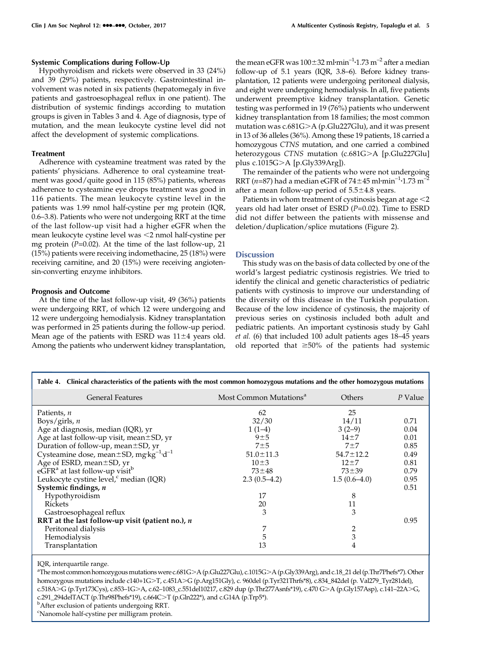## Systemic Complications during Follow-Up

Hypothyroidism and rickets were observed in 33 (24%) and 39 (29%) patients, respectively. Gastrointestinal involvement was noted in six patients (hepatomegaly in five patients and gastroesophageal reflux in one patient). The distribution of systemic findings according to mutation groups is given in Tables 3 and 4. Age of diagnosis, type of mutation, and the mean leukocyte cystine level did not affect the development of systemic complications.

## Treatment

Adherence with cysteamine treatment was rated by the patients' physicians. Adherence to oral cysteamine treatment was good/quite good in 115 (85%) patients, whereas adherence to cysteamine eye drops treatment was good in 116 patients. The mean leukocyte cystine level in the patients was 1.99 nmol half-cystine per mg protein (IQR, 0.6–3.8). Patients who were not undergoing RRT at the time of the last follow-up visit had a higher eGFR when the mean leukocyte cystine level was <2 nmol half-cystine per mg protein  $(P=0.02)$ . At the time of the last follow-up, 21 (15%) patients were receiving indomethacine, 25 (18%) were receiving carnitine, and 20 (15%) were receiving angiotensin-converting enzyme inhibitors.

# Prognosis and Outcome

At the time of the last follow-up visit, 49 (36%) patients were undergoing RRT, of which 12 were undergoing and 12 were undergoing hemodialysis. Kidney transplantation was performed in 25 patients during the follow-up period. Mean age of the patients with ESRD was  $11\pm4$  years old. Among the patients who underwent kidney transplantation,

the mean eGFR was  $100\pm32$  ml $\cdot$ min $^{-1}\cdot$ 1.73 m $^{-2}$  after a median follow-up of 5.1 years (IQR, 3.8–6). Before kidney transplantation, 12 patients were undergoing peritoneal dialysis, and eight were undergoing hemodialysis. In all, five patients underwent preemptive kidney transplantation. Genetic testing was performed in 19 (76%) patients who underwent kidney transplantation from 18 families; the most common mutation was  $c.681G>A$  (p.Glu227Glu), and it was present in 13 of 36 alleles (36%). Among these 19 patients, 18 carried a homozygous CTNS mutation, and one carried a combined heterozygous CTNS mutation (c.681G>A [p.Glu227Glu] plus c.1015G>A [p.Gly339Arg]).

The remainder of the patients who were not undergoing RRT (*n*=87) had a median eGFR of 74±45 ml·min<sup>-1</sup>·1.73 m<sup>-2</sup> after a mean follow-up period of  $5.5 \pm 4.8$  years.

Patients in whom treatment of cystinosis began at age  $<$  2 years old had later onset of ESRD  $(P=0.02)$ . Time to ESRD did not differ between the patients with missense and deletion/duplication/splice mutations (Figure 2).

# **Discussion**

This study was on the basis of data collected by one of the world's largest pediatric cystinosis registries. We tried to identify the clinical and genetic characteristics of pediatric patients with cystinosis to improve our understanding of the diversity of this disease in the Turkish population. Because of the low incidence of cystinosis, the majority of previous series on cystinosis included both adult and pediatric patients. An important cystinosis study by Gahl et al. (6) that included 100 adult patients ages 18–45 years old reported that  $\geq 50\%$  of the patients had systemic

| Table 4. Clinical characteristics of the patients with the most common homozygous mutations and the other homozygous mutations |                                    |                 |         |  |  |  |
|--------------------------------------------------------------------------------------------------------------------------------|------------------------------------|-----------------|---------|--|--|--|
| <b>General Features</b>                                                                                                        | Most Common Mutations <sup>a</sup> | Others          | P Value |  |  |  |
| Patients, n                                                                                                                    | 62                                 | 25              |         |  |  |  |
| Boys/girls, $n$                                                                                                                | 32/30                              | 14/11           | 0.71    |  |  |  |
| Age at diagnosis, median (IQR), yr                                                                                             | $1(1-4)$                           | $3(2-9)$        | 0.04    |  |  |  |
| Age at last follow-up visit, mean ±SD, yr                                                                                      | 9±5                                | $14\pm7$        | 0.01    |  |  |  |
| Duration of follow-up, mean ±SD, yr                                                                                            | $7\pm5$                            | $7 + 7$         | 0.85    |  |  |  |
| Cysteamine dose, mean $\pm$ SD, mg·kg <sup>-1</sup> ·d <sup>-1</sup>                                                           | $51.0 \pm 11.3$                    | $54.7 \pm 12.2$ | 0.49    |  |  |  |
| Age of ESRD, mean ±SD, yr                                                                                                      | $10\pm3$                           | $12 + 7$        | 0.81    |  |  |  |
| $e\tilde{G}FR^a$ at last follow-up visit <sup>b</sup>                                                                          | $73 + 48$                          | $73 + 39$       | 0.79    |  |  |  |
| Leukocyte cystine level, <sup>c</sup> median (IQR)                                                                             | $2.3(0.5-4.2)$                     | $1.5(0.6-4.0)$  | 0.95    |  |  |  |
| Systemic findings, n                                                                                                           |                                    |                 | 0.51    |  |  |  |
| Hypothyroidism                                                                                                                 | 17                                 | 8               |         |  |  |  |
| Rickets                                                                                                                        | 20                                 | 11              |         |  |  |  |
| Gastroesophageal reflux                                                                                                        | 3                                  | 3               |         |  |  |  |
| RRT at the last follow-up visit (patient no.), $n$                                                                             |                                    |                 | 0.95    |  |  |  |
| Peritoneal dialysis                                                                                                            | 7                                  | $\overline{2}$  |         |  |  |  |
| Hemodialysis                                                                                                                   | 5                                  | 3               |         |  |  |  |
| Transplantation                                                                                                                | 13                                 | 4               |         |  |  |  |

IQR, interquartile range.

a<br>The most common homozygous mutations were c.681G>A (p.Glu227Glu), c.1015G>A (p.Gly339Arg), and c.18\_21 del (p.Thr7Phefs\*7). Other homozygous mutations include c140+1G>T, c.451A>G (p.Arg151Gly), c. 960del (p.Tyr321Thrfs\*8), c.834\_842del (p. Val279\_Tyr281del), c.518A>G (p.Tyr173Cys), c.853–1G>A, c.62–1083\_c.551del10217, c.829 dup (p.Thr277Asnfs\*19), c.470 G>A (p.Gly157Asp), c.141–22A>G, c.291\_294delTACT (p.Thr98Phefs\*19), c.664C>T (p.Gln222\*), and c.G14A (p.Trp5\*).



<sup>c</sup>Nanomole half-cystine per milligram protein.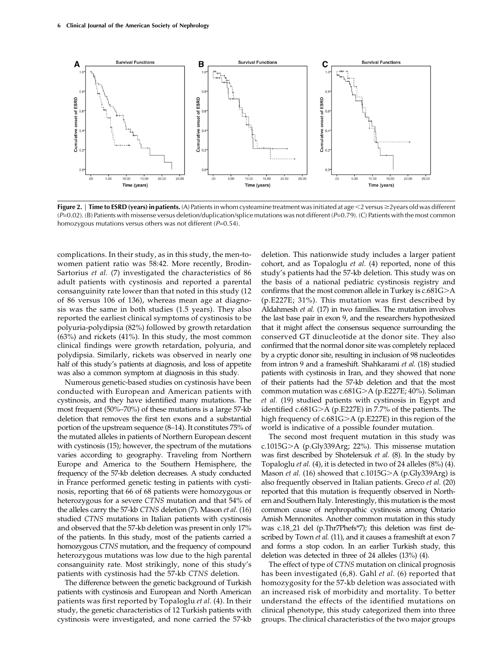

Figure 2. | Time to ESRD (years) in patients. (A) Patients in whom cysteamine treatment was initiated at age  $\leq$ 2 versus  $\geq$ 2 years old was different  $(P=0.02)$ . (B) Patients with missense versus deletion/duplication/splice mutations was not different (P=0.79). (C) Patients with the most common homozygous mutations versus others was not different  $(P=0.54)$ .

complications. In their study, as in this study, the men-towomen patient ratio was 58:42. More recently, Brodin-Sartorius et al. (7) investigated the characteristics of 86 adult patients with cystinosis and reported a parental consanguinity rate lower than that noted in this study (12 of 86 versus 106 of 136), whereas mean age at diagnosis was the same in both studies (1.5 years). They also reported the earliest clinical symptoms of cystinosis to be polyuria-polydipsia (82%) followed by growth retardation (63%) and rickets (41%). In this study, the most common clinical findings were growth retardation, polyuria, and polydipsia. Similarly, rickets was observed in nearly one half of this study's patients at diagnosis, and loss of appetite was also a common symptom at diagnosis in this study.

Numerous genetic-based studies on cystinosis have been conducted with European and American patients with cystinosis, and they have identified many mutations. The most frequent (50%–70%) of these mutations is a large 57-kb deletion that removes the first ten exons and a substantial portion of the upstream sequence (8–14). It constitutes 75% of the mutated alleles in patients of Northern European descent with cystinosis (15); however, the spectrum of the mutations varies according to geography. Traveling from Northern Europe and America to the Southern Hemisphere, the frequency of the 57-kb deletion decreases. A study conducted in France performed genetic testing in patients with cystinosis, reporting that 66 of 68 patients were homozygous or heterozygous for a severe CTNS mutation and that 54% of the alleles carry the 57-kb CTNS deletion (7). Mason et al. (16) studied CTNS mutations in Italian patients with cystinosis and observed that the 57-kb deletion was present in only 17% of the patients. In this study, most of the patients carried a homozygous CTNS mutation, and the frequency of compound heterozygous mutations was low due to the high parental consanguinity rate. Most strikingly, none of this study's patients with cystinosis had the 57-kb CTNS deletion.

The difference between the genetic background of Turkish patients with cystinosis and European and North American patients was first reported by Topaloglu et al. (4). In their study, the genetic characteristics of 12 Turkish patients with cystinosis were investigated, and none carried the 57-kb

deletion. This nationwide study includes a larger patient cohort, and as Topaloglu et al. (4) reported, none of this study's patients had the 57-kb deletion. This study was on the basis of a national pediatric cystinosis registry and confirms that the most common allele in Turkey is  $c.681G>A$ (p.E227E; 31%). This mutation was first described by Aldahmesh et al. (17) in two families. The mutation involves the last base pair in exon 9, and the researchers hypothesized that it might affect the consensus sequence surrounding the conserved GT dinucleotide at the donor site. They also confirmed that the normal donor site was completely replaced by a cryptic donor site, resulting in inclusion of 98 nucleotides from intron 9 and a frameshift. Shahkarami et al. (18) studied patients with cystinosis in Iran, and they showed that none of their patients had the 57-kb deletion and that the most common mutation was  $c.681G>A$  (p.E227E; 40%). Soliman et al. (19) studied patients with cystinosis in Egypt and identified c.681G $>$ A (p.E227E) in 7.7% of the patients. The high frequency of  $c.681G>A$  (p.E227E) in this region of the world is indicative of a possible founder mutation.

The second most frequent mutation in this study was c.1015G>A (p.Gly339Arg; 22%). This missense mutation was first described by Shotelersuk et al. (8). In the study by Topaloglu et al. (4), it is detected in two of 24 alleles (8%) (4). Mason *et al.* (16) showed that c.1015G $\geq$ A (p.Gly339Arg) is also frequently observed in Italian patients. Greco et al. (20) reported that this mutation is frequently observed in Northern and Southern Italy. Interestingly, this mutation is the most common cause of nephropathic cystinosis among Ontario Amish Mennonites. Another common mutation in this study was c.18\_21 del (p.Thr7Phefs\*7); this deletion was first described by Town et al. (11), and it causes a frameshift at exon 7 and forms a stop codon. In an earlier Turkish study, this deletion was detected in three of 24 alleles (13%) (4).

The effect of type of CTNS mutation on clinical prognosis has been investigated (6,8). Gahl et al. (6) reported that homozygosity for the 57-kb deletion was associated with an increased risk of morbidity and mortality. To better understand the effects of the identified mutations on clinical phenotype, this study categorized them into three groups. The clinical characteristics of the two major groups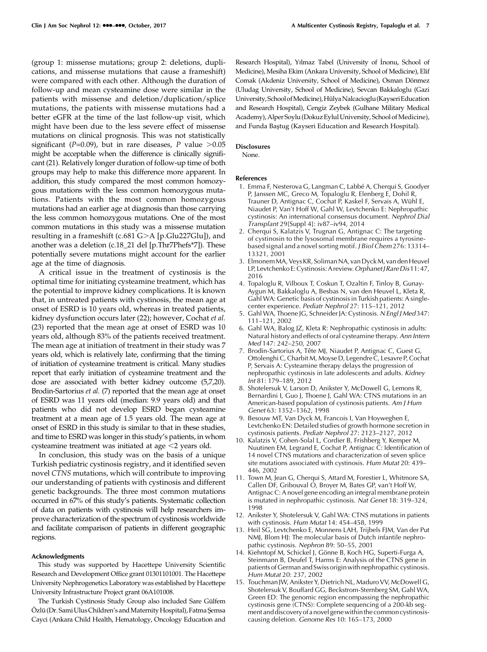(group 1: missense mutations; group 2: deletions, duplications, and missense mutations that cause a frameshift) were compared with each other. Although the duration of follow-up and mean cysteamine dose were similar in the patients with missense and deletion/duplication/splice mutations, the patients with missense mutations had a better eGFR at the time of the last follow-up visit, which might have been due to the less severe effect of missense mutations on clinical prognosis. This was not statistically significant (P=0.09), but in rare diseases, P value  $>0.05$ might be acceptable when the difference is clinically significant (21). Relatively longer duration of follow-up time of both groups may help to make this difference more apparent. In addition, this study compared the most common homozygous mutations with the less common homozygous mutations. Patients with the most common homozygous mutations had an earlier age at diagnosis than those carrying the less common homozygous mutations. One of the most common mutations in this study was a missense mutation resulting in a frameshift (c.681 G $>$ A [p.Glu227Glu]), and another was a deletion (c.18\_21 del [p.Thr7Phefs\*7]). These potentially severe mutations might account for the earlier age at the time of diagnosis.

A critical issue in the treatment of cystinosis is the optimal time for initiating cysteamine treatment, which has the potential to improve kidney complications. It is known that, in untreated patients with cystinosis, the mean age at onset of ESRD is 10 years old, whereas in treated patients, kidney dysfunction occurs later (22); however, Cochat et al. (23) reported that the mean age at onset of ESRD was 10 years old, although 83% of the patients received treatment. The mean age at initiation of treatment in their study was 7 years old, which is relatively late, confirming that the timing of initiation of cysteamine treatment is critical. Many studies report that early initiation of cysteamine treatment and the dose are associated with better kidney outcome (5,7,20). Brodin-Sartorius et al. (7) reported that the mean age at onset of ESRD was 11 years old (median: 9.9 years old) and that patients who did not develop ESRD began cysteamine treatment at a mean age of 1.5 years old. The mean age at onset of ESRD in this study is similar to that in these studies, and time to ESRD was longer in this study's patients, in whom cysteamine treatment was initiated at age  $\leq$  years old.

In conclusion, this study was on the basis of a unique Turkish pediatric cystinosis registry, and it identified seven novel CTNS mutations, which will contribute to improving our understanding of patients with cystinosis and different genetic backgrounds. The three most common mutations occurred in 67% of this study's patients. Systematic collection of data on patients with cystinosis will help researchers improve characterization of the spectrum of cystinosis worldwide and facilitate comparison of patients in different geographic regions.

# Acknowledgments

This study was supported by Hacettepe University Scientific Research and Development Office grant 01301101001. The Hacettepe University Nephrogenetics Laboratory was established by Hacettepe University Infrastructure Project grant 06A101008.

The Turkish Cystinosis Study Group also included Sare Gülfem Özlü (Dr. Sami Ulus Children's and Maternity Hospital), Fatma Şemsa Cayci (Ankara Child Health, Hematology, Oncology Education and

Research Hospital), Yılmaz Tabel (University of İnonu, School of Medicine), Mesiha Ekim (Ankara University, School of Medicine), Elif Comak (Akdeniz University, School of Medicine), Osman Dönmez (Uludag University, School of Medicine), Sevcan Bakkaloglu (Gazi University, SchoolofMedicine),HülyaNalcacioglu (KayseriEducation and Research Hospital), Cengiz Zeybek (Gulhane Military Medical Academy), Alper Soylu (Dokuz Eylul University, School of Medicine), and Funda Baştug (Kayseri Education and Research Hospital).

## Disclosures

None.

#### References

- 1. Emma F, Nesterova G, Langman C, Labbé A, Cherqui S, Goodyer P, Janssen MC, Greco M, Topaloglu R, Elenberg E, Dohil R, Trauner D, Antignac C, Cochat P, Kaskel F, Servais A, Wühl E, Niaudet P, Van't Hoff W, Gahl W, Levtchenko E: Nephropathic cystinosis: An international consensus document. Nephrol Dial Transplant 29[Suppl 4]: iv87–iv94, 2014
- 2. Cherqui S, Kalatzis V, Trugnan G, Antignac C: The targeting of cystinosin to the lysosomal membrane requires a tyrosinebased signal and a novel sorting motif. J Biol Chem 276: 13314– 13321, 2001
- 3. ElmonemMA,Veys KR, SolimanNA, van DyckM, van den Heuvel LP, Levtchenko E: Cystinosis: A review. Orphanet J Rare Dis11: 47, 2016
- 4. Topaloglu R, Vilboux T, Coskun T, Ozaltin F, Tinloy B, Gunay-Aygun M, Bakkaloglu A, Besbas N, van den Heuvel L, Kleta R, Gahl WA: Genetic basis of cystinosis in Turkish patients: A singlecenter experience. Pediatr Nephrol 27: 115–121, 2012
- 5. Gahl WA, Thoene JG, Schneider JA: Cystinosis. N Engl J Med 347: 111–121, 2002
- 6. Gahl WA, Balog JZ, Kleta R: Nephropathic cystinosis in adults: Natural history and effects of oral cysteamine therapy. Ann Intern Med 147: 242–250, 2007
- 7. Brodin-Sartorius A, Tête MJ, Niaudet P, Antignac C, Guest G, Ottolenghi C, Charbit M, Moyse D, Legendre C, Lesavre P, Cochat P, Servais A: Cysteamine therapy delays the progression of nephropathic cystinosis in late adolescents and adults. Kidney Int 81: 179–189, 2012
- 8. Shotelersuk V, Larson D, Anikster Y, McDowell G, Lemons R, Bernardini I, Guo J, Thoene J, Gahl WA: CTNS mutations in an American-based population of cystinosis patients. Am J Hum Genet 63: 1352–1362, 1998
- 9. Besouw MT, Van Dyck M, Francois I, Van Hoyweghen E, Levtchenko EN: Detailed studies of growth hormone secretion in cystinosis patients. Pediatr Nephrol 27: 2123-2127, 2012
- 10. Kalatzis V, Cohen-Solal L, Cordier B, Frishberg Y, Kemper M, Nuutinen EM, Legrand E, Cochat P, Antignac C: Identification of 14 novel CTNS mutations and characterization of seven splice site mutations associated with cystinosis. Hum Mutat 20: 439– 446, 2002
- 11. Town M, Jean G, Cherqui S, Attard M, Forestier L, Whitmore SA, Callen DF, Gribouval O, Broyer M, Bates GP, van't Hoff W, Antignac C: A novel gene encoding an integral membrane protein is mutated in nephropathic cystinosis. Nat Genet 18: 319–324, 1998
- 12. Anikster Y, Shotelersuk V, Gahl WA: CTNS mutations in patients with cystinosis. Hum Mutat 14: 454–458, 1999
- 13. Heil SG, Levtchenko E, Monnens LAH, Trijbels FJM, Van der Put NMJ, Blom HJ: The molecular basis of Dutch infantile nephropathic cystinosis. Nephron 89: 50–55, 2001
- 14. Kiehntopf M, Schickel J, Gönne B, Koch HG, Superti-Furga A, Steinmann B, Deufel T, Harms E: Analysis of the CTNS gene in patients of German and Swiss origin with nephropathic cystinosis. Hum Mutat 20: 237, 2002
- 15. Touchman JW, Anikster Y, Dietrich NL, Maduro VV, McDowell G, Shotelersuk V, Bouffard GG, Beckstrom-Sternberg SM, Gahl WA, Green ED: The genomic region encompassing the nephropathic cystinosis gene (CTNS): Complete sequencing of a 200-kb segment and discovery of a novel gene withinthe common cystinosiscausing deletion. Genome Res 10: 165–173, 2000